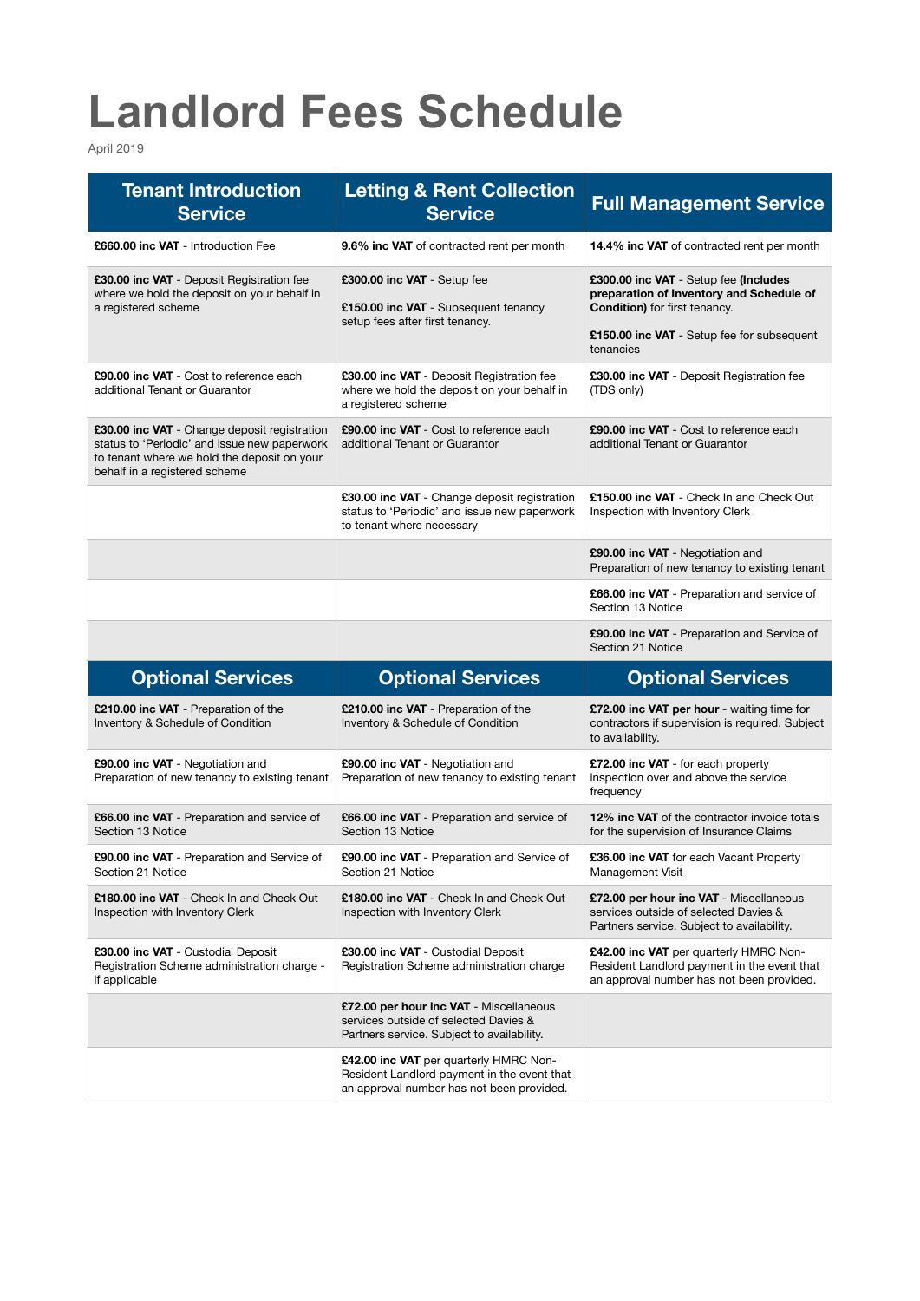## **Landlord Fees Schedule**

April 2019

| <b>Tenant Introduction</b><br><b>Service</b>                                                                                                                                 | <b>Letting &amp; Rent Collection</b><br><b>Service</b>                                                                         | <b>Full Management Service</b>                                                                                                                                                       |
|------------------------------------------------------------------------------------------------------------------------------------------------------------------------------|--------------------------------------------------------------------------------------------------------------------------------|--------------------------------------------------------------------------------------------------------------------------------------------------------------------------------------|
| £660.00 inc VAT - Introduction Fee                                                                                                                                           | <b>9.6% inc VAT</b> of contracted rent per month                                                                               | <b>14.4% inc VAT</b> of contracted rent per month                                                                                                                                    |
| £30.00 inc VAT - Deposit Registration fee<br>where we hold the deposit on your behalf in<br>a registered scheme                                                              | £300.00 inc VAT - Setup fee<br>£150.00 inc VAT - Subsequent tenancy<br>setup fees after first tenancy.                         | £300.00 inc VAT - Setup fee (Includes<br>preparation of Inventory and Schedule of<br><b>Condition)</b> for first tenancy.<br>£150.00 inc VAT - Setup fee for subsequent<br>tenancies |
| £90.00 inc VAT - Cost to reference each<br>additional Tenant or Guarantor                                                                                                    | £30.00 inc VAT - Deposit Registration fee<br>where we hold the deposit on your behalf in<br>a registered scheme                | £30.00 inc VAT - Deposit Registration fee<br>(TDS only)                                                                                                                              |
| £30.00 inc VAT - Change deposit registration<br>status to 'Periodic' and issue new paperwork<br>to tenant where we hold the deposit on your<br>behalf in a registered scheme | £90.00 inc VAT - Cost to reference each<br>additional Tenant or Guarantor                                                      | £90.00 inc VAT - Cost to reference each<br>additional Tenant or Guarantor                                                                                                            |
|                                                                                                                                                                              | £30.00 inc VAT - Change deposit registration<br>status to 'Periodic' and issue new paperwork<br>to tenant where necessary      | £150.00 inc VAT - Check In and Check Out<br>Inspection with Inventory Clerk                                                                                                          |
|                                                                                                                                                                              |                                                                                                                                | £90.00 inc VAT - Negotiation and<br>Preparation of new tenancy to existing tenant                                                                                                    |
|                                                                                                                                                                              |                                                                                                                                | <b>£66.00 inc VAT</b> - Preparation and service of<br>Section 13 Notice                                                                                                              |
|                                                                                                                                                                              |                                                                                                                                | <b>£90.00 inc VAT</b> - Preparation and Service of<br>Section 21 Notice                                                                                                              |
|                                                                                                                                                                              |                                                                                                                                |                                                                                                                                                                                      |
| <b>Optional Services</b>                                                                                                                                                     | <b>Optional Services</b>                                                                                                       | <b>Optional Services</b>                                                                                                                                                             |
| <b>£210.00 inc VAT</b> - Preparation of the<br>Inventory & Schedule of Condition                                                                                             | £210.00 inc VAT - Preparation of the<br>Inventory & Schedule of Condition                                                      | £72.00 inc VAT per hour - waiting time for<br>contractors if supervision is required. Subject<br>to availability.                                                                    |
| £90.00 inc VAT - Negotiation and<br>Preparation of new tenancy to existing tenant                                                                                            | £90.00 inc VAT - Negotiation and<br>Preparation of new tenancy to existing tenant                                              | £72.00 inc VAT - for each property<br>inspection over and above the service<br>frequency                                                                                             |
| £66.00 inc VAT - Preparation and service of<br>Section 13 Notice                                                                                                             | £66.00 inc VAT - Preparation and service of<br>Section 13 Notice                                                               | 12% inc VAT of the contractor invoice totals<br>for the supervision of Insurance Claims                                                                                              |
| <b>£90.00 inc VAT</b> - Preparation and Service of<br>Section 21 Notice                                                                                                      | £90.00 inc VAT - Preparation and Service of<br>Section 21 Notice                                                               | <b>£36.00 inc VAT</b> for each Vacant Property<br>Management Visit                                                                                                                   |
| £180.00 inc VAT - Check In and Check Out<br>Inspection with Inventory Clerk                                                                                                  | £180.00 inc VAT - Check In and Check Out<br>Inspection with Inventory Clerk                                                    | £72.00 per hour inc VAT - Miscellaneous<br>services outside of selected Davies &<br>Partners service. Subject to availability.                                                       |
| £30.00 inc VAT - Custodial Deposit<br>Registration Scheme administration charge -<br>if applicable                                                                           | £30.00 inc VAT - Custodial Deposit<br>Registration Scheme administration charge                                                | £42.00 inc VAT per quarterly HMRC Non-<br>Resident Landlord payment in the event that<br>an approval number has not been provided.                                                   |
|                                                                                                                                                                              | £72.00 per hour inc VAT - Miscellaneous<br>services outside of selected Davies &<br>Partners service. Subject to availability. |                                                                                                                                                                                      |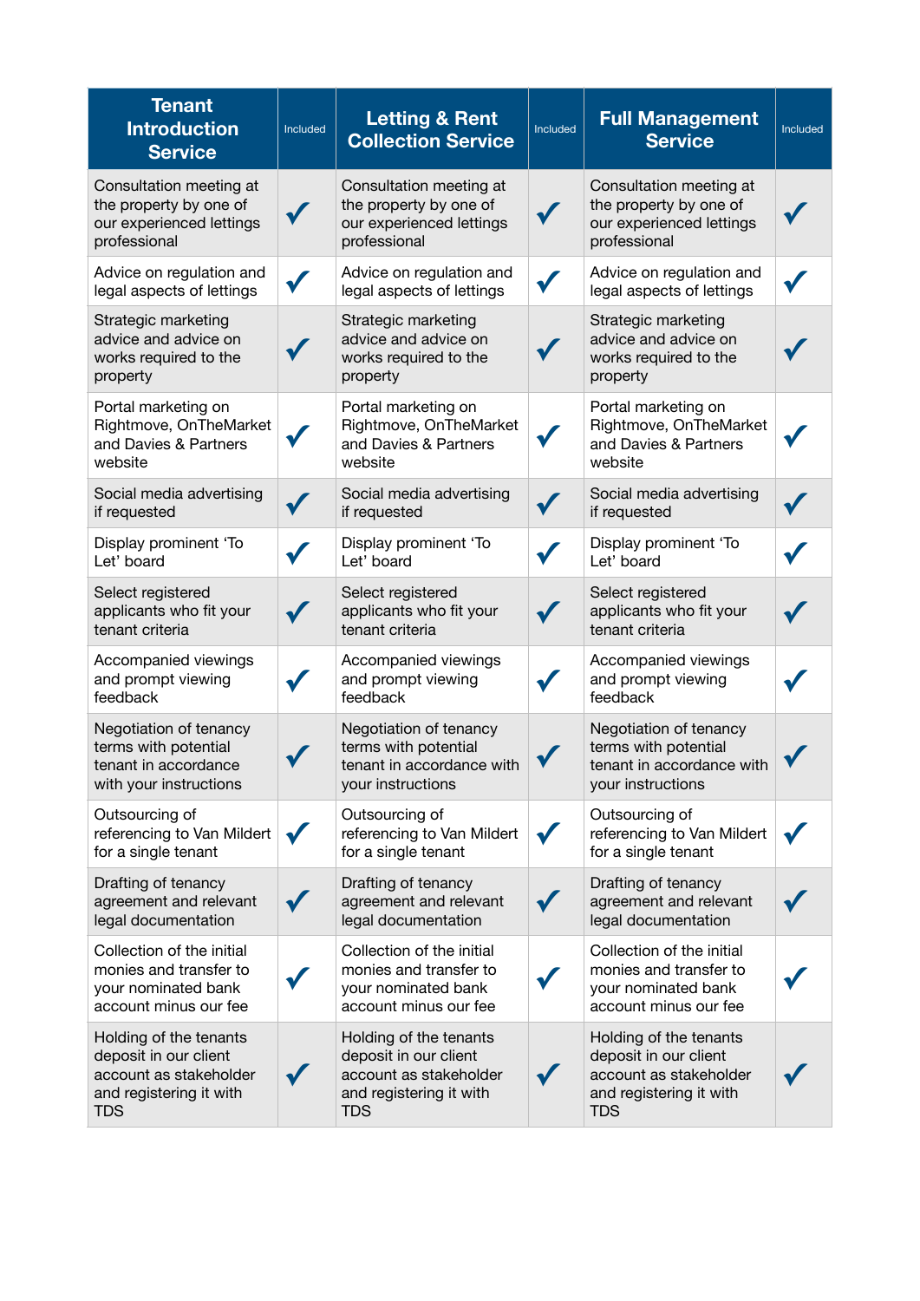| <b>Tenant</b><br><b>Introduction</b><br><b>Service</b>                                                             | Included | <b>Letting &amp; Rent</b><br><b>Collection Service</b>                                                             | Included | <b>Full Management</b><br><b>Service</b>                                                                           | Included |
|--------------------------------------------------------------------------------------------------------------------|----------|--------------------------------------------------------------------------------------------------------------------|----------|--------------------------------------------------------------------------------------------------------------------|----------|
| Consultation meeting at<br>the property by one of<br>our experienced lettings<br>professional                      |          | Consultation meeting at<br>the property by one of<br>our experienced lettings<br>professional                      |          | Consultation meeting at<br>the property by one of<br>our experienced lettings<br>professional                      |          |
| Advice on regulation and<br>legal aspects of lettings                                                              |          | Advice on regulation and<br>legal aspects of lettings                                                              |          | Advice on regulation and<br>legal aspects of lettings                                                              |          |
| Strategic marketing<br>advice and advice on<br>works required to the<br>property                                   |          | Strategic marketing<br>advice and advice on<br>works required to the<br>property                                   |          | Strategic marketing<br>advice and advice on<br>works required to the<br>property                                   |          |
| Portal marketing on<br>Rightmove, OnTheMarket<br>and Davies & Partners<br>website                                  |          | Portal marketing on<br>Rightmove, OnTheMarket<br>and Davies & Partners<br>website                                  |          | Portal marketing on<br>Rightmove, OnTheMarket<br>and Davies & Partners<br>website                                  |          |
| Social media advertising<br>if requested                                                                           |          | Social media advertising<br>if requested                                                                           |          | Social media advertising<br>if requested                                                                           |          |
| Display prominent 'To<br>Let' board                                                                                |          | Display prominent 'To<br>Let' board                                                                                |          | Display prominent 'To<br>Let' board                                                                                |          |
| Select registered<br>applicants who fit your<br>tenant criteria                                                    |          | Select registered<br>applicants who fit your<br>tenant criteria                                                    |          | Select registered<br>applicants who fit your<br>tenant criteria                                                    |          |
| Accompanied viewings<br>and prompt viewing<br>feedback                                                             |          | Accompanied viewings<br>and prompt viewing<br>feedback                                                             |          | Accompanied viewings<br>and prompt viewing<br>feedback                                                             |          |
| Negotiation of tenancy<br>terms with potential<br>tenant in accordance<br>with your instructions                   |          | Negotiation of tenancy<br>terms with potential<br>tenant in accordance with<br>your instructions                   |          | Negotiation of tenancy<br>terms with potential<br>tenant in accordance with<br>your instructions                   |          |
| Outsourcing of<br>referencing to Van Mildert<br>for a single tenant                                                |          | Outsourcing of<br>referencing to Van Mildert<br>for a single tenant                                                |          | Outsourcing of<br>referencing to Van Mildert<br>for a single tenant                                                |          |
| Drafting of tenancy<br>agreement and relevant<br>legal documentation                                               |          | Drafting of tenancy<br>agreement and relevant<br>legal documentation                                               |          | Drafting of tenancy<br>agreement and relevant<br>legal documentation                                               |          |
| Collection of the initial<br>monies and transfer to<br>your nominated bank<br>account minus our fee                |          | Collection of the initial<br>monies and transfer to<br>your nominated bank<br>account minus our fee                |          | Collection of the initial<br>monies and transfer to<br>your nominated bank<br>account minus our fee                |          |
| Holding of the tenants<br>deposit in our client<br>account as stakeholder<br>and registering it with<br><b>TDS</b> |          | Holding of the tenants<br>deposit in our client<br>account as stakeholder<br>and registering it with<br><b>TDS</b> |          | Holding of the tenants<br>deposit in our client<br>account as stakeholder<br>and registering it with<br><b>TDS</b> |          |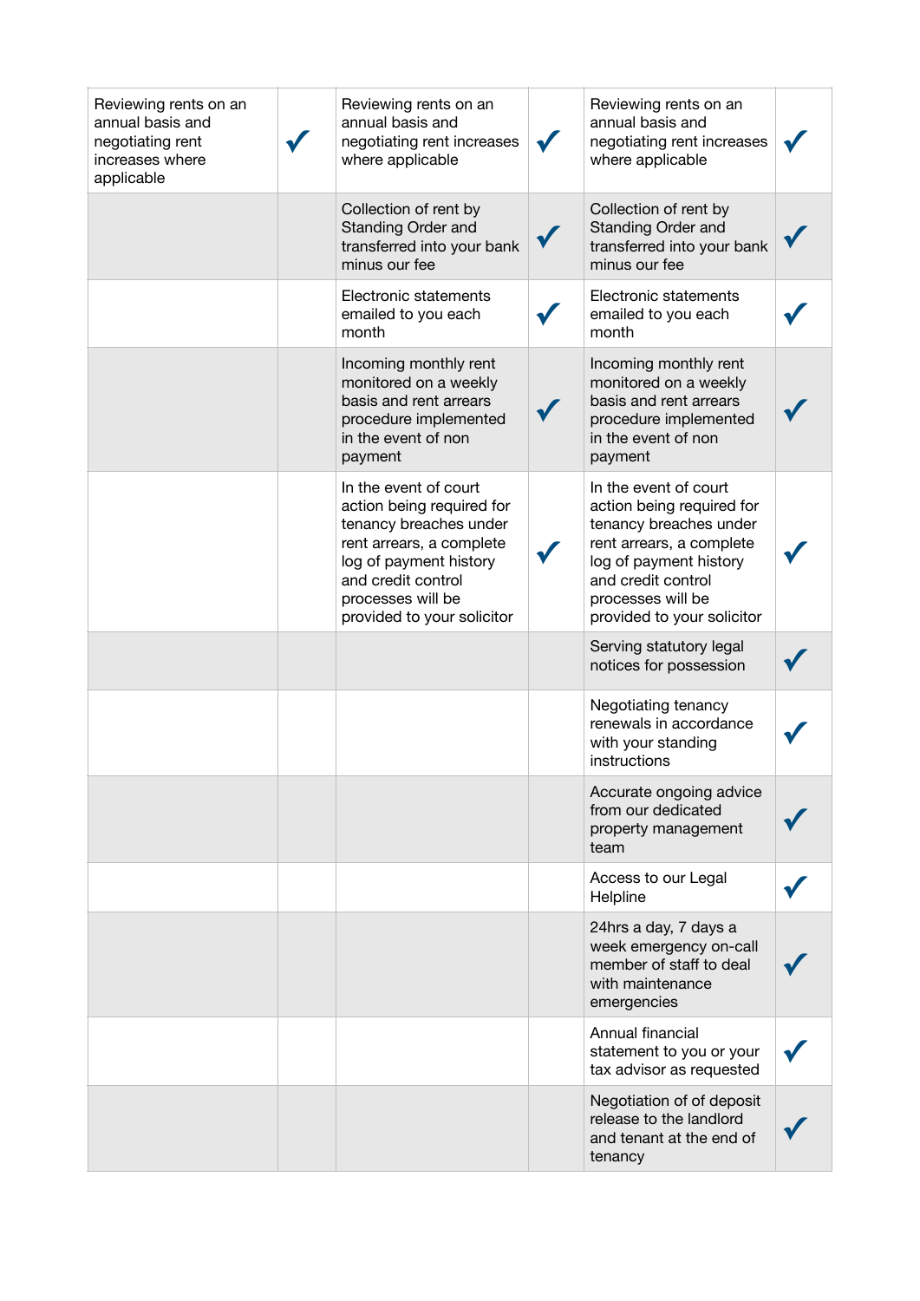| Reviewing rents on an<br>annual basis and<br>negotiating rent<br>increases where<br>applicable | Reviewing rents on an<br>annual basis and<br>negotiating rent increases<br>where applicable                                                                                                                 | Reviewing rents on an<br>annual basis and<br>negotiating rent increases<br>where applicable                                                                                                                 |  |
|------------------------------------------------------------------------------------------------|-------------------------------------------------------------------------------------------------------------------------------------------------------------------------------------------------------------|-------------------------------------------------------------------------------------------------------------------------------------------------------------------------------------------------------------|--|
|                                                                                                | Collection of rent by<br>Standing Order and<br>transferred into your bank<br>minus our fee                                                                                                                  | Collection of rent by<br>Standing Order and<br>transferred into your bank<br>minus our fee                                                                                                                  |  |
|                                                                                                | Electronic statements<br>emailed to you each<br>month                                                                                                                                                       | Electronic statements<br>emailed to you each<br>month                                                                                                                                                       |  |
|                                                                                                | Incoming monthly rent<br>monitored on a weekly<br>basis and rent arrears<br>procedure implemented<br>in the event of non<br>payment                                                                         | Incoming monthly rent<br>monitored on a weekly<br>basis and rent arrears<br>procedure implemented<br>in the event of non<br>payment                                                                         |  |
|                                                                                                | In the event of court<br>action being required for<br>tenancy breaches under<br>rent arrears, a complete<br>log of payment history<br>and credit control<br>processes will be<br>provided to your solicitor | In the event of court<br>action being required for<br>tenancy breaches under<br>rent arrears, a complete<br>log of payment history<br>and credit control<br>processes will be<br>provided to your solicitor |  |
|                                                                                                |                                                                                                                                                                                                             | Serving statutory legal<br>notices for possession                                                                                                                                                           |  |
|                                                                                                |                                                                                                                                                                                                             | Negotiating tenancy<br>renewals in accordance<br>with your standing<br>instructions                                                                                                                         |  |
|                                                                                                |                                                                                                                                                                                                             | Accurate ongoing advice<br>from our dedicated<br>property management<br>team                                                                                                                                |  |
|                                                                                                |                                                                                                                                                                                                             | Access to our Legal<br>Helpline                                                                                                                                                                             |  |
|                                                                                                |                                                                                                                                                                                                             | 24hrs a day, 7 days a<br>week emergency on-call<br>member of staff to deal<br>with maintenance<br>emergencies                                                                                               |  |
|                                                                                                |                                                                                                                                                                                                             | Annual financial<br>statement to you or your<br>tax advisor as requested                                                                                                                                    |  |
|                                                                                                |                                                                                                                                                                                                             | Negotiation of of deposit<br>release to the landlord<br>and tenant at the end of<br>tenancy                                                                                                                 |  |